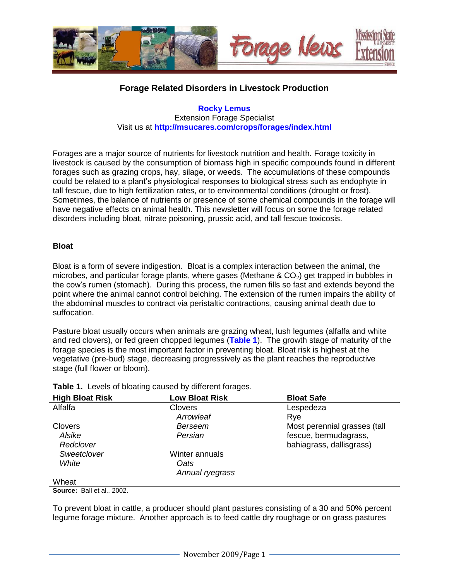

### **Forage Related Disorders in Livestock Production**

**[Rocky Lemus](mailto:RLemus@ext.msstate.edu?subject=Incorporating%20Clovers%20into%20Your%20Pastures)** Extension Forage Specialist Visit us at **<http://msucares.com/crops/forages/index.html>**

Forages are a major source of nutrients for livestock nutrition and health. Forage toxicity in livestock is caused by the consumption of biomass high in specific compounds found in different forages such as grazing crops, hay, silage, or weeds. The accumulations of these compounds could be related to a plant's physiological responses to biological stress such as endophyte in tall fescue, due to high fertilization rates, or to environmental conditions (drought or frost). Sometimes, the balance of nutrients or presence of some chemical compounds in the forage will have negative effects on animal health. This newsletter will focus on some the forage related disorders including bloat, nitrate poisoning, prussic acid, and tall fescue toxicosis.

### **Bloat**

Bloat is a form of severe indigestion. Bloat is a complex interaction between the animal, the microbes, and particular forage plants, where gases (Methane &  $CO<sub>2</sub>$ ) get trapped in bubbles in the cow's rumen (stomach). During this process, the rumen fills so fast and extends beyond the point where the animal cannot control belching. The extension of the rumen impairs the ability of the abdominal muscles to contract via peristaltic contractions, causing animal death due to suffocation.

Pasture bloat usually occurs when animals are grazing wheat, lush legumes (alfalfa and white and red clovers), or fed green chopped legumes (**[Table 1](#page-0-0)**). The growth stage of maturity of the forage species is the most important factor in preventing bloat. Bloat risk is highest at the vegetative (pre-bud) stage, decreasing progressively as the plant reaches the reproductive stage (full flower or bloom).

| <b>High Bloat Risk</b> | <b>Low Bloat Risk</b> | <b>Bloat Safe</b>            |
|------------------------|-----------------------|------------------------------|
| Alfalfa                | Clovers               | Lespedeza                    |
|                        | Arrowleaf             | Rye                          |
| <b>Clovers</b>         | Berseem               | Most perennial grasses (tall |
| Alsike                 | Persian               | fescue, bermudagrass,        |
| Redclover              |                       | bahiagrass, dallisgrass)     |
| Sweetclover            | Winter annuals        |                              |
| White                  | Oats                  |                              |
|                        | Annual ryegrass       |                              |
| Wheat                  |                       |                              |

### <span id="page-0-0"></span>**Table 1.** Levels of bloating caused by different forages.

**Source:** Ball et al., 2002.

To prevent bloat in cattle, a producer should plant pastures consisting of a 30 and 50% percent legume forage mixture. Another approach is to feed cattle dry roughage or on grass pastures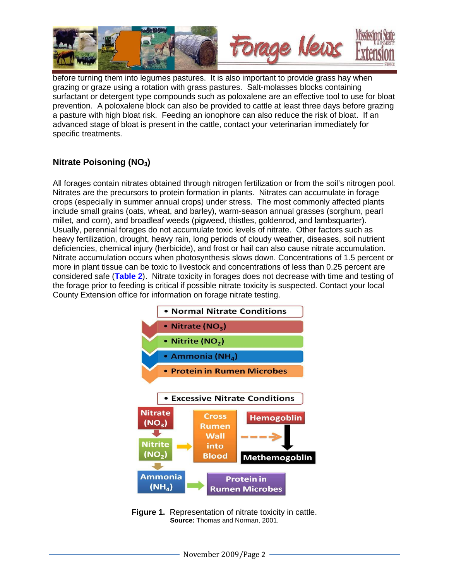

before turning them into legumes pastures. It is also important to provide grass hay when grazing or graze using a rotation with grass pastures. Salt-molasses blocks containing surfactant or detergent type compounds such as poloxalene are an effective tool to use for bloat prevention. A poloxalene block can also be provided to cattle at least three days before grazing a pasture with high bloat risk. Feeding an ionophore can also reduce the risk of bloat. If an advanced stage of bloat is present in the cattle, contact your veterinarian immediately for specific treatments.

# **Nitrate Poisoning (NO3)**

All forages contain nitrates obtained through nitrogen fertilization or from the soil's nitrogen pool. Nitrates are the precursors to protein formation in plants. Nitrates can accumulate in forage crops (especially in summer annual crops) under stress. The most commonly affected plants include small grains (oats, wheat, and barley), warm-season annual grasses (sorghum, pearl millet, and corn), and broadleaf weeds (pigweed, thistles, goldenrod, and lambsquarter). Usually, perennial forages do not accumulate toxic levels of nitrate. Other factors such as heavy fertilization, drought, heavy rain, long periods of cloudy weather, diseases, soil nutrient deficiencies, chemical injury (herbicide), and frost or hail can also cause nitrate accumulation. Nitrate accumulation occurs when photosynthesis slows down. Concentrations of 1.5 percent or more in plant tissue can be toxic to livestock and concentrations of less than 0.25 percent are considered safe (**[Table 2](#page-2-0)**). Nitrate toxicity in forages does not decrease with time and testing of the forage prior to feeding is critical if possible nitrate toxicity is suspected. Contact your local County Extension office for information on forage nitrate testing.

<span id="page-1-0"></span>

**Figure 1.** Representation of nitrate toxicity in cattle. **Source:** Thomas and Norman, 2001.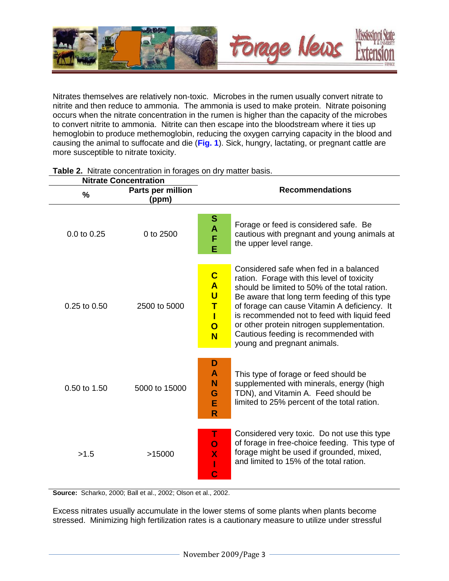

Nitrates themselves are relatively non-toxic. Microbes in the rumen usually convert nitrate to nitrite and then reduce to ammonia. The ammonia is used to make protein. Nitrate poisoning occurs when the nitrate concentration in the rumen is higher than the capacity of the microbes to convert nitrite to ammonia. Nitrite can then escape into the bloodstream where it ties up hemoglobin to produce methemoglobin, reducing the oxygen carrying capacity in the blood and causing the animal to suffocate and die (**[Fig. 1](#page-1-0)**). Sick, hungry, lactating, or pregnant cattle are more susceptible to nitrate toxicity.

| $\frac{9}{6}$ | Nitrate Concentration<br>Parts per million | <b>Recommendations</b>                                                                                                                                  |                                                                                                                                                                                                                                                                                                                                                                                                           |
|---------------|--------------------------------------------|---------------------------------------------------------------------------------------------------------------------------------------------------------|-----------------------------------------------------------------------------------------------------------------------------------------------------------------------------------------------------------------------------------------------------------------------------------------------------------------------------------------------------------------------------------------------------------|
|               | (ppm)                                      |                                                                                                                                                         |                                                                                                                                                                                                                                                                                                                                                                                                           |
| 0.0 to 0.25   | 0 to 2500                                  | S<br>A<br>F<br>E                                                                                                                                        | Forage or feed is considered safe. Be<br>cautious with pregnant and young animals at<br>the upper level range.                                                                                                                                                                                                                                                                                            |
| 0.25 to 0.50  | 2500 to 5000                               | $\overline{\mathbf{C}}$<br>$\overline{\mathsf{A}}$<br>$\overline{\mathsf{U}}$<br>$\mathsf T$<br>T<br>$\overline{\mathbf{o}}$<br>$\overline{\mathsf{N}}$ | Considered safe when fed in a balanced<br>ration. Forage with this level of toxicity<br>should be limited to 50% of the total ration.<br>Be aware that long term feeding of this type<br>of forage can cause Vitamin A deficiency. It<br>is recommended not to feed with liquid feed<br>or other protein nitrogen supplementation.<br>Cautious feeding is recommended with<br>young and pregnant animals. |
| 0.50 to 1.50  | 5000 to 15000                              | D<br>A<br>N<br>G<br>E<br>$\overline{\mathsf{R}}$                                                                                                        | This type of forage or feed should be<br>supplemented with minerals, energy (high<br>TDN), and Vitamin A. Feed should be<br>limited to 25% percent of the total ration.                                                                                                                                                                                                                                   |
| >1.5          | >15000                                     | $\overline{O}$<br>X<br>Ï                                                                                                                                | Considered very toxic. Do not use this type<br>of forage in free-choice feeding. This type of<br>forage might be used if grounded, mixed,<br>and limited to 15% of the total ration.                                                                                                                                                                                                                      |

#### <span id="page-2-0"></span>**Table 2.** Nitrate concentration in forages on dry matter basis. **Nitrate Concentration**

**Source:** Scharko, 2000; Ball et al., 2002; Olson et al., 2002.

Excess nitrates usually accumulate in the lower stems of some plants when plants become stressed. Minimizing high fertilization rates is a cautionary measure to utilize under stressful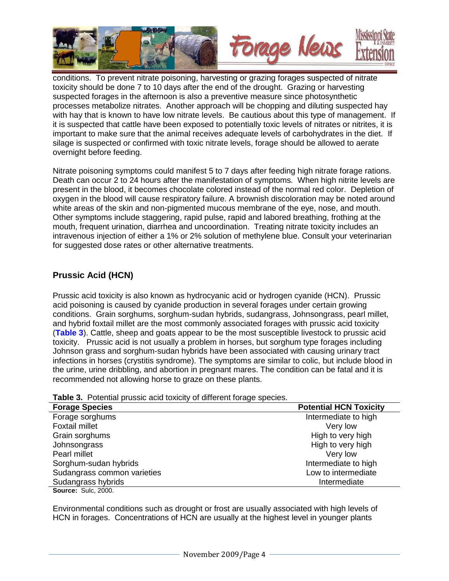

conditions. To prevent nitrate poisoning, harvesting or grazing forages suspected of nitrate toxicity should be done 7 to 10 days after the end of the drought. Grazing or harvesting suspected forages in the afternoon is also a preventive measure since photosynthetic processes metabolize nitrates. Another approach will be chopping and diluting suspected hay with hay that is known to have low nitrate levels. Be cautious about this type of management. If it is suspected that cattle have been exposed to potentially toxic levels of nitrates or nitrites, it is important to make sure that the animal receives adequate levels of carbohydrates in the diet. If silage is suspected or confirmed with toxic nitrate levels, forage should be allowed to aerate overnight before feeding.

Nitrate poisoning symptoms could manifest 5 to 7 days after feeding high nitrate forage rations. Death can occur 2 to 24 hours after the manifestation of symptoms. When high nitrite levels are present in the blood, it becomes chocolate colored instead of the normal red color. Depletion of oxygen in the blood will cause respiratory failure. A brownish discoloration may be noted around white areas of the skin and non-pigmented mucous membrane of the eye, nose, and mouth. Other symptoms include staggering, rapid pulse, rapid and labored breathing, frothing at the mouth, frequent urination, diarrhea and uncoordination. Treating nitrate toxicity includes an intravenous injection of either a 1% or 2% solution of methylene blue. Consult your veterinarian for suggested dose rates or other alternative treatments.

# **Prussic Acid (HCN)**

Prussic acid toxicity is also known as hydrocyanic acid or hydrogen cyanide (HCN). Prussic acid poisoning is caused by cyanide production in several forages under certain growing conditions. Grain sorghums, sorghum-sudan hybrids, sudangrass, Johnsongrass, pearl millet, and hybrid foxtail millet are the most commonly associated forages with prussic acid toxicity (**[Table 3](#page-3-0)**). Cattle, sheep and goats appear to be the most susceptible livestock to prussic acid toxicity. Prussic acid is not usually a problem in horses, but sorghum type forages including Johnson grass and sorghum-sudan hybrids have been associated with causing urinary tract infections in horses (crystitis syndrome). The symptoms are similar to colic, but include blood in the urine, urine dribbling, and abortion in pregnant mares. The condition can be fatal and it is recommended not allowing horse to graze on these plants.

<span id="page-3-0"></span>

|  |  |  |  | Table 3. Potential prussic acid toxicity of different forage species. |  |
|--|--|--|--|-----------------------------------------------------------------------|--|
|--|--|--|--|-----------------------------------------------------------------------|--|

| <b>Forage Species</b>       | <b>Potential HCN Toxicity</b> |  |  |
|-----------------------------|-------------------------------|--|--|
| Forage sorghums             | Intermediate to high          |  |  |
| <b>Foxtail millet</b>       | Very low                      |  |  |
| Grain sorghums              | High to very high             |  |  |
| Johnsongrass                | High to very high             |  |  |
| Pearl millet                | Very low                      |  |  |
| Sorghum-sudan hybrids       | Intermediate to high          |  |  |
| Sudangrass common varieties | Low to intermediate           |  |  |
| Sudangrass hybrids          | Intermediate                  |  |  |
| <b>Source: Sulc. 2000.</b>  |                               |  |  |

Environmental conditions such as drought or frost are usually associated with high levels of HCN in forages. Concentrations of HCN are usually at the highest level in younger plants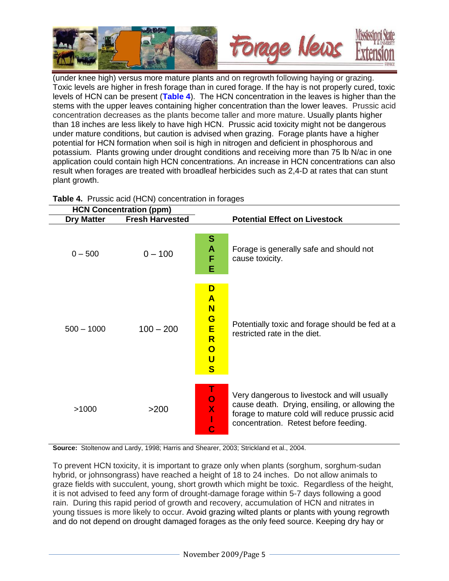

(under knee high) versus more mature plants and on regrowth following haying or grazing. Toxic levels are higher in fresh forage than in cured forage. If the hay is not properly cured, toxic levels of HCN can be present (**[Table 4](#page-4-0)**). The HCN concentration in the leaves is higher than the stems with the upper leaves containing higher concentration than the lower leaves. Prussic acid concentration decreases as the plants become taller and more mature. Usually plants higher than 18 inches are less likely to have high HCN. Prussic acid toxicity might not be dangerous under mature conditions, but caution is advised when grazing. Forage plants have a higher potential for HCN formation when soil is high in nitrogen and deficient in phosphorous and potassium. Plants growing under drought conditions and receiving more than 75 lb N/ac in one application could contain high HCN concentrations. An increase in HCN concentrations can also result when forages are treated with broadleaf herbicides such as 2,4-D at rates that can stunt plant growth.

| <b>Dry Matter</b> | <b>HCN Concentration (ppm)</b><br><b>Fresh Harvested</b> |                                                                                                                                      | <b>Potential Effect on Livestock</b>                                                                                                                                                      |
|-------------------|----------------------------------------------------------|--------------------------------------------------------------------------------------------------------------------------------------|-------------------------------------------------------------------------------------------------------------------------------------------------------------------------------------------|
| $0 - 500$         | $0 - 100$                                                | S<br>A<br>F<br>E.                                                                                                                    | Forage is generally safe and should not<br>cause toxicity.                                                                                                                                |
| $500 - 1000$      | $100 - 200$                                              | D<br>$\blacktriangle$<br>N<br>G<br>E<br>$\overline{\mathsf{R}}$<br>$\mathbf O$<br>$\overline{\mathsf{U}}$<br>$\overline{\mathbf{s}}$ | Potentially toxic and forage should be fed at a<br>restricted rate in the diet.                                                                                                           |
| >1000             | >200                                                     | $\frac{1}{\alpha}$<br>$\frac{x}{1}$                                                                                                  | Very dangerous to livestock and will usually<br>cause death. Drying, ensiling, or allowing the<br>forage to mature cold will reduce prussic acid<br>concentration. Retest before feeding. |

<span id="page-4-0"></span>

|  | Table 4. Prussic acid (HCN) concentration in forages |  |
|--|------------------------------------------------------|--|
|  |                                                      |  |

**Source:** Stoltenow and Lardy, 1998; Harris and Shearer, 2003; Strickland et al., 2004.

To prevent HCN toxicity, it is important to graze only when plants (sorghum, sorghum-sudan hybrid, or johnsongrass) have reached a height of 18 to 24 inches. Do not allow animals to graze fields with succulent, young, short growth which might be toxic. Regardless of the height, it is not advised to feed any form of drought-damage forage within 5-7 days following a good rain. During this rapid period of growth and recovery, accumulation of HCN and nitrates in young tissues is more likely to occur. Avoid grazing wilted plants or plants with young regrowth and do not depend on drought damaged forages as the only feed source. Keeping dry hay or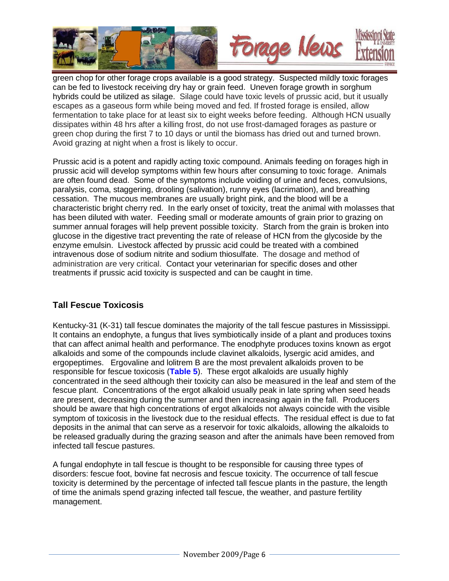

green chop for other forage crops available is a good strategy. Suspected mildly toxic forages can be fed to livestock receiving dry hay or grain feed. Uneven forage growth in sorghum hybrids could be utilized as silage. Silage could have toxic levels of prussic acid, but it usually escapes as a gaseous form while being moved and fed. If frosted forage is ensiled, allow fermentation to take place for at least six to eight weeks before feeding. Although HCN usually dissipates within 48 hrs after a killing frost, do not use frost-damaged forages as pasture or green chop during the first 7 to 10 days or until the biomass has dried out and turned brown. Avoid grazing at night when a frost is likely to occur.

Prussic acid is a potent and rapidly acting toxic compound. Animals feeding on forages high in prussic acid will develop symptoms within few hours after consuming to toxic forage. Animals are often found dead. Some of the symptoms include voiding of urine and feces, convulsions, paralysis, coma, staggering, drooling (salivation), runny eyes (lacrimation), and breathing cessation. The mucous membranes are usually bright pink, and the blood will be a characteristic bright cherry red. In the early onset of toxicity, treat the animal with molasses that has been diluted with water. Feeding small or moderate amounts of grain prior to grazing on summer annual forages will help prevent possible toxicity. Starch from the grain is broken into glucose in the digestive tract preventing the rate of release of HCN from the glycoside by the enzyme emulsin. Livestock affected by prussic acid could be treated with a combined intravenous dose of sodium nitrite and sodium thiosulfate. The dosage and method of administration are very critical. Contact your veterinarian for specific doses and other treatments if prussic acid toxicity is suspected and can be caught in time.

# **Tall Fescue Toxicosis**

Kentucky-31 (K-31) tall fescue dominates the majority of the tall fescue pastures in Mississippi. It contains an endophyte, a fungus that lives symbiotically inside of a plant and produces toxins that can affect animal health and performance. The enodphyte produces toxins known as ergot alkaloids and some of the compounds include clavinet alkaloids, lysergic acid amides, and ergopeptimes. Ergovaline and lolitrem B are the most prevalent alkaloids proven to be responsible for fescue toxicosis (**[Table 5](#page-6-0)**). These ergot alkaloids are usually highly concentrated in the seed although their toxicity can also be measured in the leaf and stem of the fescue plant. Concentrations of the ergot alkaloid usually peak in late spring when seed heads are present, decreasing during the summer and then increasing again in the fall. Producers should be aware that high concentrations of ergot alkaloids not always coincide with the visible symptom of toxicosis in the livestock due to the residual effects. The residual effect is due to fat deposits in the animal that can serve as a reservoir for toxic alkaloids, allowing the alkaloids to be released gradually during the grazing season and after the animals have been removed from infected tall fescue pastures.

A fungal endophyte in tall fescue is thought to be responsible for causing three types of disorders: fescue foot, bovine fat necrosis and fescue toxicity. The occurrence of tall fescue toxicity is determined by the percentage of infected tall fescue plants in the pasture, the length of time the animals spend grazing infected tall fescue, the weather, and pasture fertility management.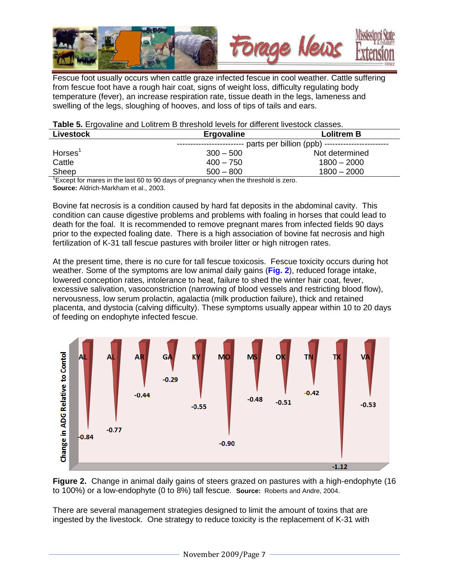

Fescue foot usually occurs when cattle graze infected fescue in cool weather. Cattle suffering from fescue foot have a rough hair coat, signs of weight loss, difficulty regulating body temperature (fever), an increase respiration rate, tissue death in the legs, lameness and swelling of the legs, sloughing of hooves, and loss of tips of tails and ears.

<span id="page-6-0"></span>

|  |  |  |  | <b>Table 5.</b> Ergovaline and Lolitrem B threshold levels for different livestock classes. |  |
|--|--|--|--|---------------------------------------------------------------------------------------------|--|
|--|--|--|--|---------------------------------------------------------------------------------------------|--|

| <b>Ergovaline</b>     | <b>Lolitrem B</b>                                 |
|-----------------------|---------------------------------------------------|
| --------------------- | - parts per billion (ppb) ----------------------- |
| $300 - 500$           | Not determined                                    |
| $400 - 750$           | $1800 - 2000$                                     |
| $500 - 800$           | $1800 - 2000$                                     |
|                       |                                                   |

 $1$  Except for mares in the last 60 to 90 days of pregnancy when the threshold is zero. **Source:** Aldrich-Markham et al., 2003.

Bovine fat necrosis is a condition caused by hard fat deposits in the abdominal cavity. This condition can cause digestive problems and problems with foaling in horses that could lead to death for the foal. It is recommended to remove pregnant mares from infected fields 90 days prior to the expected foaling date. There is a high association of bovine fat necrosis and high fertilization of K-31 tall fescue pastures with broiler litter or high nitrogen rates.

At the present time, there is no cure for tall fescue toxicosis. Fescue toxicity occurs during hot weather. Some of the symptoms are low animal daily gains (**[Fig. 2](#page-6-1)**), reduced forage intake, lowered conception rates, intolerance to heat, failure to shed the winter hair coat, fever, excessive salivation, vasoconstriction (narrowing of blood vessels and restricting blood flow), nervousness, low serum prolactin, agalactia (milk production failure), thick and retained placenta, and dystocia (calving difficulty). These symptoms usually appear within 10 to 20 days of feeding on endophyte infected fescue.

<span id="page-6-1"></span>

**Figure 2.** Change in animal daily gains of steers grazed on pastures with a high-endophyte (16 to 100%) or a low-endophyte (0 to 8%) tall fescue. **Source:** Roberts and Andre, 2004.

There are several management strategies designed to limit the amount of toxins that are ingested by the livestock. One strategy to reduce toxicity is the replacement of K-31 with